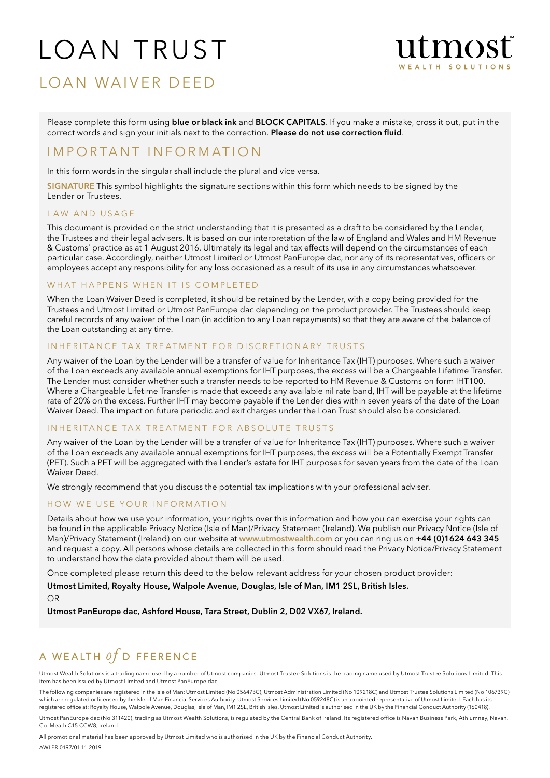# Loan Trust



# Loan Waiv er Deed

Please complete this form using **blue or black ink** and **BLOCK CAPITALS**. If you make a mistake, cross it out, put in the correct words and sign your initials next to the correction. Please do not use correction fluid.

# I M P O R T A N T I N F O R M A T I O N

In this form words in the singular shall include the plural and vice versa.

SIGNATURE This symbol highlights the signature sections within this form which needs to be signed by the Lender or Trustees.

#### LAW AND USAGE

This document is provided on the strict understanding that it is presented as a draft to be considered by the Lender, the Trustees and their legal advisers. It is based on our interpretation of the law of England and Wales and HM Revenue & Customs' practice as at 1 August 2016. Ultimately its legal and tax effects will depend on the circumstances of each particular case. Accordingly, neither Utmost Limited or Utmost PanEurope dac, nor any of its representatives, officers or employees accept any responsibility for any loss occasioned as a result of its use in any circumstances whatsoever.

#### WHAT HAPPENS WHEN IT IS COMPLETED

When the Loan Waiver Deed is completed, it should be retained by the Lender, with a copy being provided for the Trustees and Utmost Limited or Utmost PanEurope dac depending on the product provider. The Trustees should keep careful records of any waiver of the Loan (in addition to any Loan repayments) so that they are aware of the balance of the Loan outstanding at any time.

#### INHERITANCE TAX TREATMENT FOR DISCRETIONARY TRUSTS

Any waiver of the Loan by the Lender will be a transfer of value for Inheritance Tax (IHT) purposes. Where such a waiver of the Loan exceeds any available annual exemptions for IHT purposes, the excess will be a Chargeable Lifetime Transfer. The Lender must consider whether such a transfer needs to be reported to HM Revenue & Customs on form IHT100. Where a Chargeable Lifetime Transfer is made that exceeds any available nil rate band, IHT will be payable at the lifetime rate of 20% on the excess. Further IHT may become payable if the Lender dies within seven years of the date of the Loan Waiver Deed. The impact on future periodic and exit charges under the Loan Trust should also be considered.

#### INHERITANCE TAX TREATMENT FOR ABSOLUTE TRUSTS

Any waiver of the Loan by the Lender will be a transfer of value for Inheritance Tax (IHT) purposes. Where such a waiver of the Loan exceeds any available annual exemptions for IHT purposes, the excess will be a Potentially Exempt Transfer (PET). Such a PET will be aggregated with the Lender's estate for IHT purposes for seven years from the date of the Loan Waiver Deed.

We strongly recommend that you discuss the potential tax implications with your professional adviser.

#### HOW WE USE YOUR INFORMATION

Details about how we use your information, your rights over this information and how you can exercise your rights can be found in the applicable Privacy Notice (Isle of Man)/Privacy Statement (Ireland). We publish our Privacy Notice (Isle of Man)/Privacy Statement (Ireland) on our website at www.utmostwealth.com or you can ring us on +44 (0)1624 643 345 and request a copy. All persons whose details are collected in this form should read the Privacy Notice/Privacy Statement to understand how the data provided about them will be used.

Once completed please return this deed to the below relevant address for your chosen product provider:

Utmost Limited, Royalty House, Walpole Avenue, Douglas, Isle of Man, IM1 2SL, British Isles. OR

Utmost PanEurope dac, Ashford House, Tara Street, Dublin 2, D02 VX67, Ireland.

# A WEALTH  $of$  DIFFERENCE

Utmost Wealth Solutions is a trading name used by a number of Utmost companies. Utmost Trustee Solutions is the trading name used by Utmost Trustee Solutions Limited. This item has been issued by Utmost Limited and Utmost PanEurope dac.

The following companies are registered in the Isle of Man: Utmost Limited (No 056473C), Utmost Administration Limited (No 109218C) and Utmost Trustee Solutions Limited (No 106739C) which are regulated or licensed by the Isle of Man Financial Services Authority. Utmost Services Limited (No 059248C) is an appointed representative of Utmost Limited. Each has its registered office at: Royalty House, Walpole Avenue, Douglas, Isle of Man, IM1 2SL, British Isles. Utmost Limited is authorised in the UK by the Financial Conduct Authority (160418).

Utmost PanEurope dac (No 311420), trading as Utmost Wealth Solutions, is regulated by the Central Bank of Ireland. Its registered office is Navan Business Park, Athlumney, Navan, Co. Meath C15 CCW8, Ireland.

All promotional material has been approved by Utmost Limited who is authorised in the UK by the Financial Conduct Authority.

AWI PR 0197/01.11.2019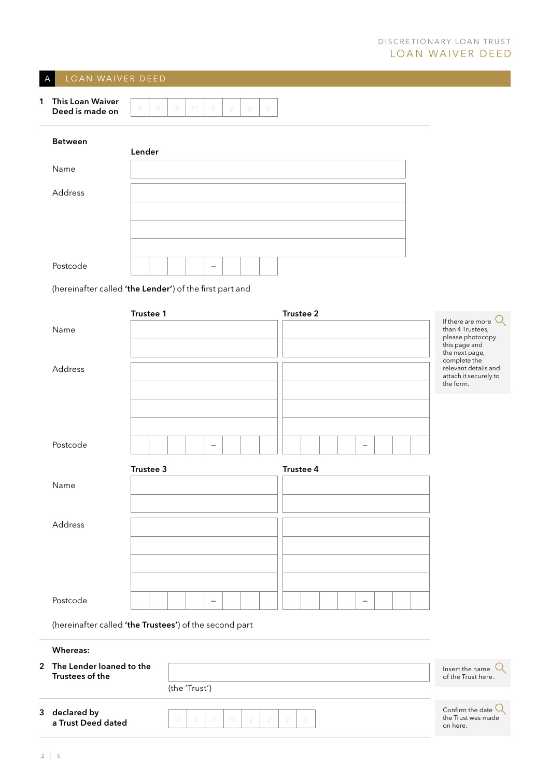## A LOAN WAIVER DEED

| <b>This Loan Waiver</b><br>Deed is made on |  |  |  |  |
|--------------------------------------------|--|--|--|--|
|                                            |  |  |  |  |

| <b>Between</b> | Lender |  |
|----------------|--------|--|
| Name           |        |  |
| Address        |        |  |
| Postcode       | -      |  |

(hereinafter called 'the Lender') of the first part and

|                                                        | Trustee 1 |               |                          |   |   |   | Trustee 2 |  |          |  |                                                                                                                          |
|--------------------------------------------------------|-----------|---------------|--------------------------|---|---|---|-----------|--|----------|--|--------------------------------------------------------------------------------------------------------------------------|
| Name                                                   |           |               |                          |   |   |   |           |  |          |  | $\alpha$<br>If there are more<br>than 4 Trustees,<br>please photocopy<br>this page and<br>the next page,<br>complete the |
| Address                                                |           |               |                          |   |   |   |           |  |          |  | relevant details and<br>attach it securely to<br>the form.                                                               |
|                                                        |           |               |                          |   |   |   |           |  |          |  |                                                                                                                          |
| Postcode                                               |           |               | $\equiv$                 |   |   |   |           |  | $\equiv$ |  |                                                                                                                          |
|                                                        | Trustee 3 |               |                          |   |   |   | Trustee 4 |  |          |  |                                                                                                                          |
| Name                                                   |           |               |                          |   |   |   |           |  |          |  |                                                                                                                          |
|                                                        |           |               |                          |   |   |   |           |  |          |  |                                                                                                                          |
|                                                        |           |               |                          |   |   |   |           |  |          |  |                                                                                                                          |
| Address                                                |           |               |                          |   |   |   |           |  |          |  |                                                                                                                          |
|                                                        |           |               |                          |   |   |   |           |  |          |  |                                                                                                                          |
|                                                        |           |               |                          |   |   |   |           |  |          |  |                                                                                                                          |
|                                                        |           |               |                          |   |   |   |           |  |          |  |                                                                                                                          |
|                                                        |           |               |                          |   |   |   |           |  |          |  |                                                                                                                          |
|                                                        |           |               |                          |   |   |   |           |  |          |  |                                                                                                                          |
| Postcode                                               |           |               | $\overline{\phantom{0}}$ |   |   |   |           |  |          |  |                                                                                                                          |
| (hereinafter called 'the Trustees') of the second part |           |               |                          |   |   |   |           |  |          |  |                                                                                                                          |
| <b>Whereas:</b>                                        |           |               |                          |   |   |   |           |  |          |  |                                                                                                                          |
| 2 The Lender loaned to the<br>Trustees of the          |           |               |                          |   |   |   |           |  |          |  | Insert the name<br>of the Trust here.                                                                                    |
|                                                        |           | (the 'Trust') |                          |   |   |   |           |  |          |  |                                                                                                                          |
| 3 declared by<br>a Trust Deed dated                    |           | d<br>d        | m                        | m | y | У | У         |  |          |  | Confirm the date $Q$<br>the Trust was made<br>on here.                                                                   |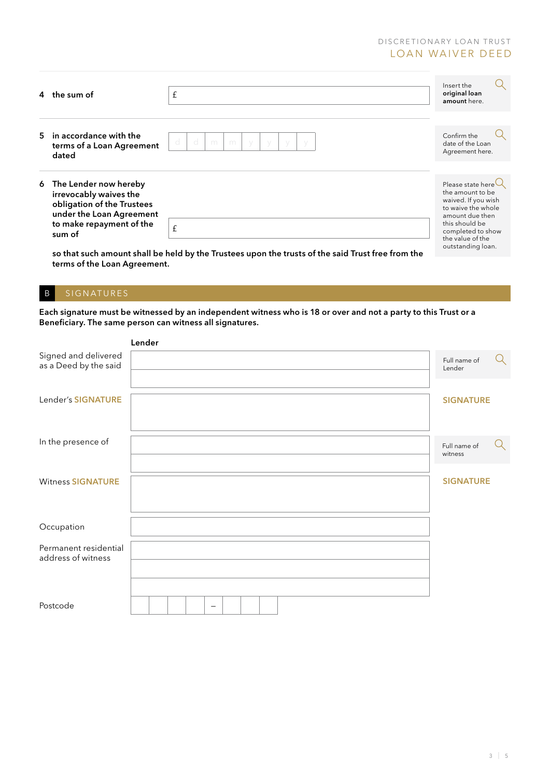#### DISCRETIONARY LOAN TRUST LOAN WAIVER DEED

| 4 the sum of                                                                                                                                      | £                                                                                                                | Insert the<br>original loan<br>amount here.                                                                                                                                                  |  |
|---------------------------------------------------------------------------------------------------------------------------------------------------|------------------------------------------------------------------------------------------------------------------|----------------------------------------------------------------------------------------------------------------------------------------------------------------------------------------------|--|
| 5 in accordance with the<br>terms of a Loan Agreement<br>dated                                                                                    | d<br>d<br>m<br>m                                                                                                 | Confirm the<br>date of the Loan<br>Agreement here.                                                                                                                                           |  |
| 6 The Lender now hereby<br>irrevocably waives the<br>obligation of the Trustees<br>under the Loan Agreement<br>to make repayment of the<br>sum of | $\mathbf f$<br>so that such amount shall be held by the Trustees upon the trusts of the said Trust free from the | Please state here $\cup$<br>the amount to be<br>waived. If you wish<br>to waive the whole<br>amount due then<br>this should be<br>completed to show<br>the value of the<br>outstanding loan. |  |

## B SIGNATURES

Each signature must be witnessed by an independent witness who is 18 or over and not a party to this Trust or a Beneficiary. The same person can witness all signatures.

|                                               | Lender |                         |   |
|-----------------------------------------------|--------|-------------------------|---|
| Signed and delivered<br>as a Deed by the said |        | Full name of<br>Lender  | Q |
| Lender's SIGNATURE                            |        | <b>SIGNATURE</b>        |   |
| In the presence of                            |        | Full name of<br>witness | Q |
| <b>Witness SIGNATURE</b>                      |        | <b>SIGNATURE</b>        |   |
| Occupation                                    |        |                         |   |
| Permanent residential<br>address of witness   |        |                         |   |
| Postcode                                      |        |                         |   |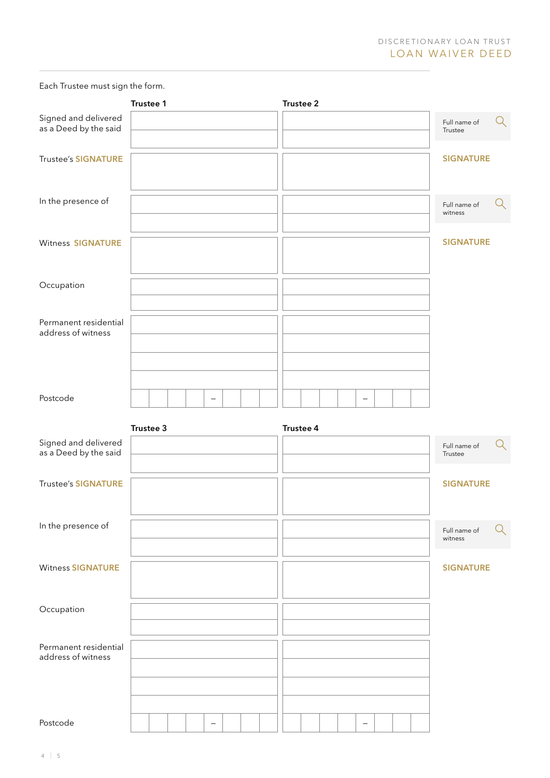Each Trustee must sign the form.

|                                               | Trustee 1 |                   |  | Trustee 2 |  |  |                         |   |
|-----------------------------------------------|-----------|-------------------|--|-----------|--|--|-------------------------|---|
| Signed and delivered<br>as a Deed by the said |           |                   |  |           |  |  | Full name of<br>Trustee | Q |
| <b>Trustee's SIGNATURE</b>                    |           |                   |  |           |  |  | <b>SIGNATURE</b>        |   |
| In the presence of                            |           |                   |  |           |  |  | Full name of<br>witness | Q |
| <b>Witness SIGNATURE</b>                      |           |                   |  |           |  |  | <b>SIGNATURE</b>        |   |
| Occupation                                    |           |                   |  |           |  |  |                         |   |
| Permanent residential<br>address of witness   |           |                   |  |           |  |  |                         |   |
| Postcode                                      |           | $\qquad \qquad -$ |  |           |  |  |                         |   |
| Signed and delivered<br>as a Deed by the said | Trustee 3 |                   |  | Trustee 4 |  |  | Full name of<br>Trustee | Q |
|                                               |           |                   |  |           |  |  |                         |   |
| <b>Trustee's SIGNATURE</b>                    |           |                   |  |           |  |  | <b>SIGNATURE</b>        |   |
| In the presence of                            |           |                   |  |           |  |  | Full name of<br>witness | Q |
| <b>Witness SIGNATURE</b>                      |           |                   |  |           |  |  | <b>SIGNATURE</b>        |   |
| Occupation                                    |           |                   |  |           |  |  |                         |   |
| Permanent residential<br>address of witness   |           |                   |  |           |  |  |                         |   |